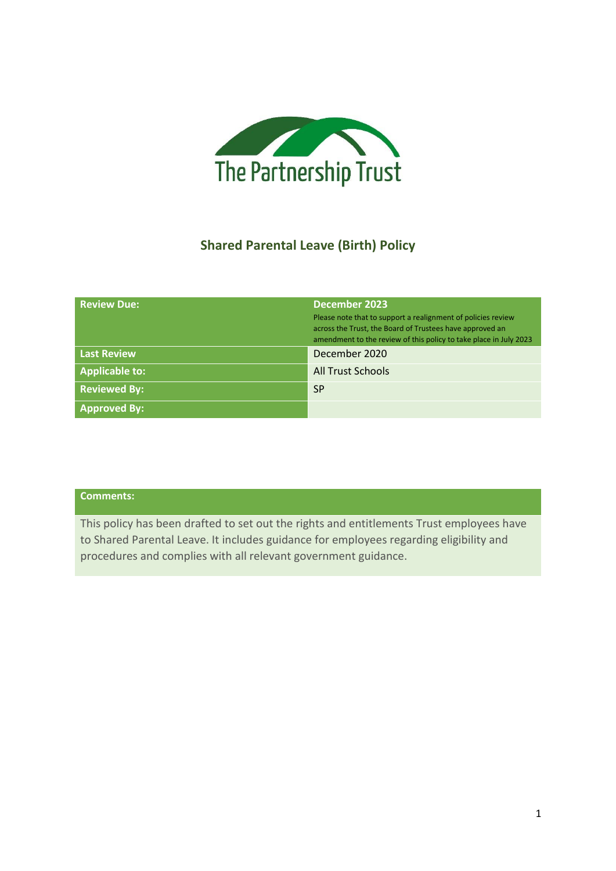

# **Shared Parental Leave (Birth) Policy**

| <b>Review Due:</b>    | December 2023<br>Please note that to support a realignment of policies review<br>across the Trust, the Board of Trustees have approved an<br>amendment to the review of this policy to take place in July 2023 |
|-----------------------|----------------------------------------------------------------------------------------------------------------------------------------------------------------------------------------------------------------|
| <b>Last Review</b>    | December 2020                                                                                                                                                                                                  |
| <b>Applicable to:</b> | <b>All Trust Schools</b>                                                                                                                                                                                       |
| <b>Reviewed By:</b>   | <b>SP</b>                                                                                                                                                                                                      |
| <b>Approved By:</b>   |                                                                                                                                                                                                                |

# **Comments:**

This policy has been drafted to set out the rights and entitlements Trust employees have to Shared Parental Leave. It includes guidance for employees regarding eligibility and procedures and complies with all relevant government guidance.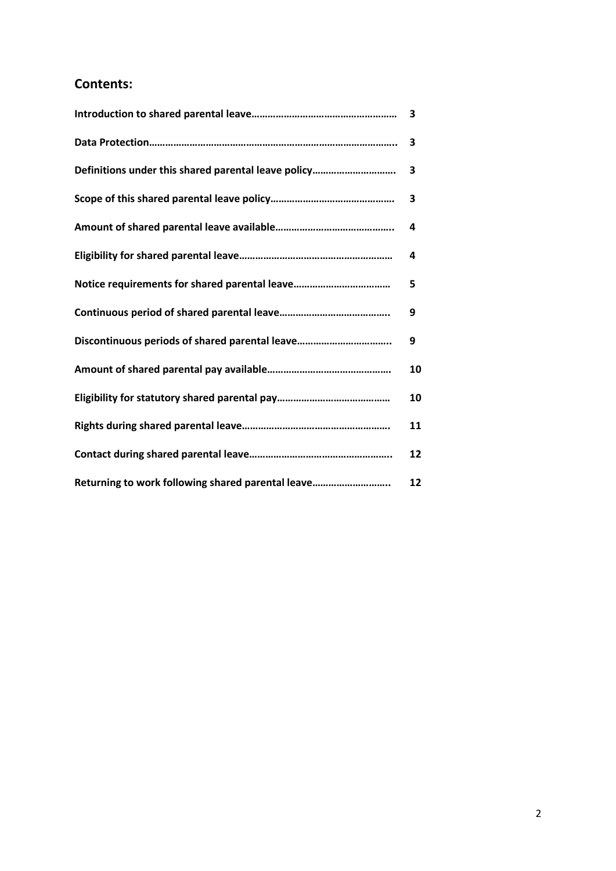# **Contents:**

|                                                     | 3  |
|-----------------------------------------------------|----|
| Definitions under this shared parental leave policy | 3  |
|                                                     | 3  |
|                                                     | 4  |
|                                                     | 4  |
|                                                     | 5  |
|                                                     | 9  |
|                                                     | 9  |
|                                                     | 10 |
|                                                     | 10 |
|                                                     | 11 |
|                                                     | 12 |
| Returning to work following shared parental leave   | 12 |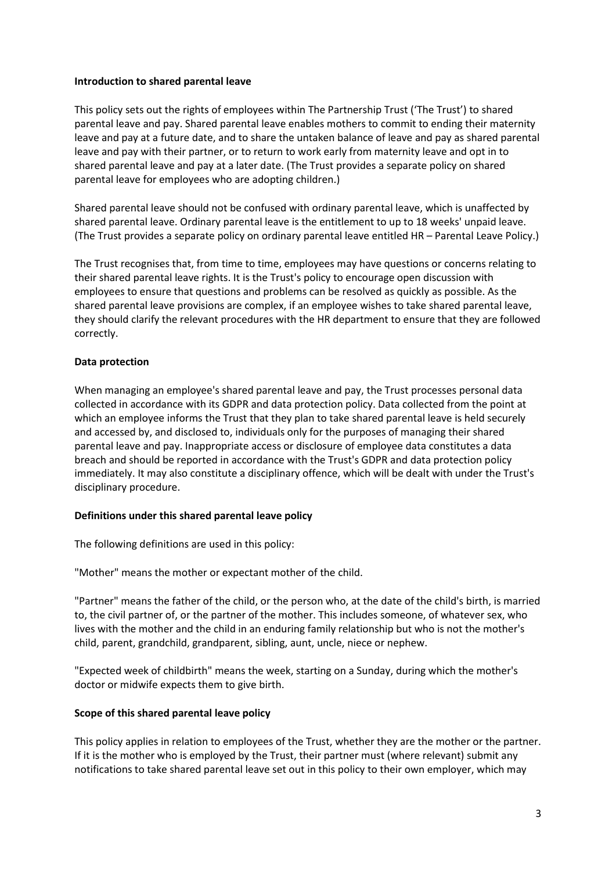### **Introduction to shared parental leave**

This policy sets out the rights of employees within The Partnership Trust ('The Trust') to shared parental leave and pay. Shared parental leave enables mothers to commit to ending their maternity leave and pay at a future date, and to share the untaken balance of leave and pay as shared parental leave and pay with their partner, or to return to work early from maternity leave and opt in to shared parental leave and pay at a later date. (The Trust provides a separate policy on shared parental leave for employees who are adopting children.)

Shared parental leave should not be confused with ordinary parental leave, which is unaffected by shared parental leave. Ordinary parental leave is the entitlement to up to 18 weeks' unpaid leave. (The Trust provides a separate policy on ordinary parental leave entitled HR – Parental Leave Policy.)

The Trust recognises that, from time to time, employees may have questions or concerns relating to their shared parental leave rights. It is the Trust's policy to encourage open discussion with employees to ensure that questions and problems can be resolved as quickly as possible. As the shared parental leave provisions are complex, if an employee wishes to take shared parental leave, they should clarify the relevant procedures with the HR department to ensure that they are followed correctly.

## **Data protection**

When managing an employee's shared parental leave and pay, the Trust processes personal data collected in accordance with its GDPR and data protection policy. Data collected from the point at which an employee informs the Trust that they plan to take shared parental leave is held securely and accessed by, and disclosed to, individuals only for the purposes of managing their shared parental leave and pay. Inappropriate access or disclosure of employee data constitutes a data breach and should be reported in accordance with the Trust's GDPR and data protection policy immediately. It may also constitute a disciplinary offence, which will be dealt with under the Trust's disciplinary procedure.

## **Definitions under this shared parental leave policy**

The following definitions are used in this policy:

"Mother" means the mother or expectant mother of the child.

"Partner" means the father of the child, or the person who, at the date of the child's birth, is married to, the civil partner of, or the partner of the mother. This includes someone, of whatever sex, who lives with the mother and the child in an enduring family relationship but who is not the mother's child, parent, grandchild, grandparent, sibling, aunt, uncle, niece or nephew.

"Expected week of childbirth" means the week, starting on a Sunday, during which the mother's doctor or midwife expects them to give birth.

## **Scope of this shared parental leave policy**

This policy applies in relation to employees of the Trust, whether they are the mother or the partner. If it is the mother who is employed by the Trust, their partner must (where relevant) submit any notifications to take shared parental leave set out in this policy to their own employer, which may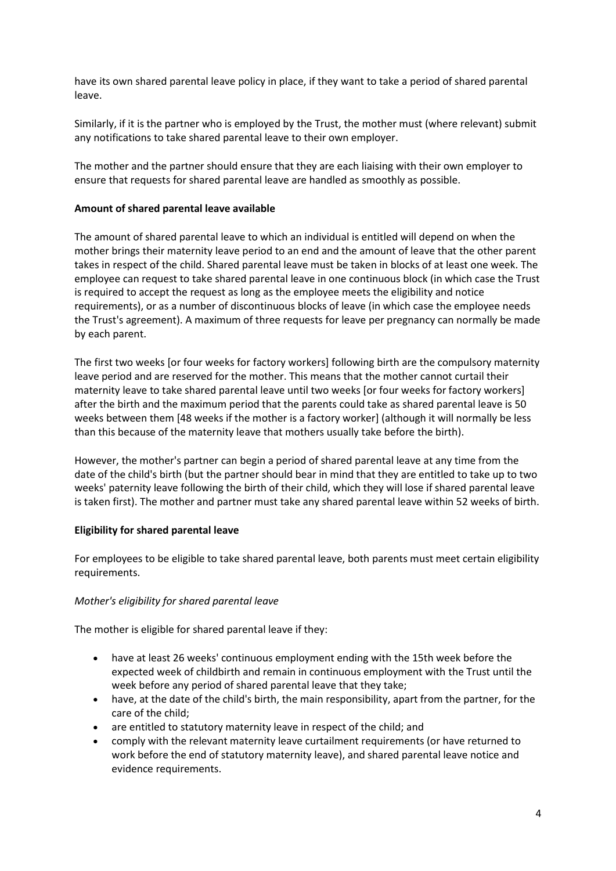have its own shared parental leave policy in place, if they want to take a period of shared parental leave.

Similarly, if it is the partner who is employed by the Trust, the mother must (where relevant) submit any notifications to take shared parental leave to their own employer.

The mother and the partner should ensure that they are each liaising with their own employer to ensure that requests for shared parental leave are handled as smoothly as possible.

## **Amount of shared parental leave available**

The amount of shared parental leave to which an individual is entitled will depend on when the mother brings their maternity leave period to an end and the amount of leave that the other parent takes in respect of the child. Shared parental leave must be taken in blocks of at least one week. The employee can request to take shared parental leave in one continuous block (in which case the Trust is required to accept the request as long as the employee meets the eligibility and notice requirements), or as a number of discontinuous blocks of leave (in which case the employee needs the Trust's agreement). A maximum of three requests for leave per pregnancy can normally be made by each parent.

The first two weeks [or four weeks for factory workers] following birth are the compulsory maternity leave period and are reserved for the mother. This means that the mother cannot curtail their maternity leave to take shared parental leave until two weeks [or four weeks for factory workers] after the birth and the maximum period that the parents could take as shared parental leave is 50 weeks between them [48 weeks if the mother is a factory worker] (although it will normally be less than this because of the maternity leave that mothers usually take before the birth).

However, the mother's partner can begin a period of shared parental leave at any time from the date of the child's birth (but the partner should bear in mind that they are entitled to take up to two weeks' paternity leave following the birth of their child, which they will lose if shared parental leave is taken first). The mother and partner must take any shared parental leave within 52 weeks of birth.

## **Eligibility for shared parental leave**

For employees to be eligible to take shared parental leave, both parents must meet certain eligibility requirements.

## *Mother's eligibility for shared parental leave*

The mother is eligible for shared parental leave if they:

- have at least 26 weeks' continuous employment ending with the 15th week before the expected week of childbirth and remain in continuous employment with the Trust until the week before any period of shared parental leave that they take;
- have, at the date of the child's birth, the main responsibility, apart from the partner, for the care of the child;
- are entitled to statutory maternity leave in respect of the child; and
- comply with the relevant maternity leave curtailment requirements (or have returned to work before the end of statutory maternity leave), and shared parental leave notice and evidence requirements.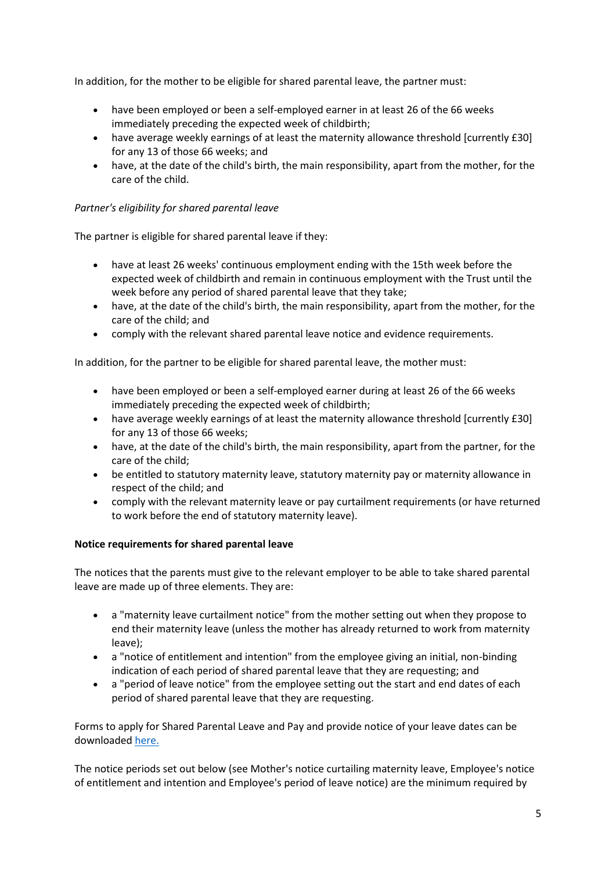In addition, for the mother to be eligible for shared parental leave, the partner must:

- have been employed or been a self-employed earner in at least 26 of the 66 weeks immediately preceding the expected week of childbirth;
- have average weekly earnings of at least the maternity allowance threshold [currently £30] for any 13 of those 66 weeks; and
- have, at the date of the child's birth, the main responsibility, apart from the mother, for the care of the child.

## *Partner's eligibility for shared parental leave*

The partner is eligible for shared parental leave if they:

- have at least 26 weeks' continuous employment ending with the 15th week before the expected week of childbirth and remain in continuous employment with the Trust until the week before any period of shared parental leave that they take;
- have, at the date of the child's birth, the main responsibility, apart from the mother, for the care of the child; and
- comply with the relevant shared parental leave notice and evidence requirements.

In addition, for the partner to be eligible for shared parental leave, the mother must:

- have been employed or been a self-employed earner during at least 26 of the 66 weeks immediately preceding the expected week of childbirth;
- have average weekly earnings of at least the maternity allowance threshold [currently £30] for any 13 of those 66 weeks;
- have, at the date of the child's birth, the main responsibility, apart from the partner, for the care of the child;
- be entitled to statutory maternity leave, statutory maternity pay or maternity allowance in respect of the child; and
- comply with the relevant maternity leave or pay curtailment requirements (or have returned to work before the end of statutory maternity leave).

## **Notice requirements for shared parental leave**

The notices that the parents must give to the relevant employer to be able to take shared parental leave are made up of three elements. They are:

- a "maternity leave curtailment notice" from the mother setting out when they propose to end their maternity leave (unless the mother has already returned to work from maternity leave);
- a "notice of entitlement and intention" from the employee giving an initial, non-binding indication of each period of shared parental leave that they are requesting; and
- a "period of leave notice" from the employee setting out the start and end dates of each period of shared parental leave that they are requesting.

Forms to apply for Shared Parental Leave and Pay and provide notice of your leave dates can be downloaded [here.](https://www.gov.uk/shared-parental-leave-and-pay/applying-for-leave-and-pay)

The notice periods set out below (see Mother's notice curtailing maternity leave, Employee's notice of entitlement and intention and Employee's period of leave notice) are the minimum required by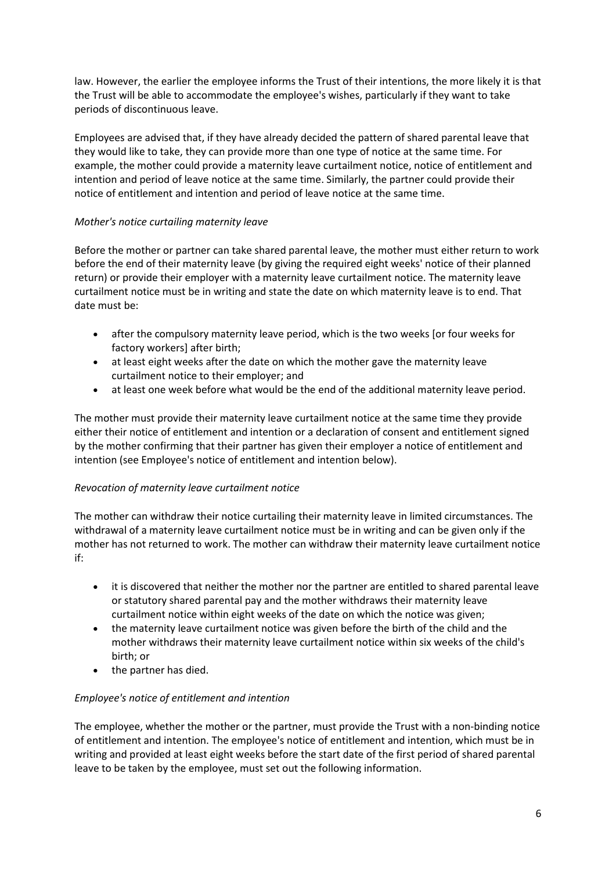law. However, the earlier the employee informs the Trust of their intentions, the more likely it is that the Trust will be able to accommodate the employee's wishes, particularly if they want to take periods of discontinuous leave.

Employees are advised that, if they have already decided the pattern of shared parental leave that they would like to take, they can provide more than one type of notice at the same time. For example, the mother could provide a maternity leave curtailment notice, notice of entitlement and intention and period of leave notice at the same time. Similarly, the partner could provide their notice of entitlement and intention and period of leave notice at the same time.

## *Mother's notice curtailing maternity leave*

Before the mother or partner can take shared parental leave, the mother must either return to work before the end of their maternity leave (by giving the required eight weeks' notice of their planned return) or provide their employer with a maternity leave curtailment notice. The maternity leave curtailment notice must be in writing and state the date on which maternity leave is to end. That date must be:

- after the compulsory maternity leave period, which is the two weeks [or four weeks for factory workers] after birth;
- at least eight weeks after the date on which the mother gave the maternity leave curtailment notice to their employer; and
- at least one week before what would be the end of the additional maternity leave period.

The mother must provide their maternity leave curtailment notice at the same time they provide either their notice of entitlement and intention or a declaration of consent and entitlement signed by the mother confirming that their partner has given their employer a notice of entitlement and intention (see Employee's notice of entitlement and intention below).

## *Revocation of maternity leave curtailment notice*

The mother can withdraw their notice curtailing their maternity leave in limited circumstances. The withdrawal of a maternity leave curtailment notice must be in writing and can be given only if the mother has not returned to work. The mother can withdraw their maternity leave curtailment notice if:

- it is discovered that neither the mother nor the partner are entitled to shared parental leave or statutory shared parental pay and the mother withdraws their maternity leave curtailment notice within eight weeks of the date on which the notice was given;
- the maternity leave curtailment notice was given before the birth of the child and the mother withdraws their maternity leave curtailment notice within six weeks of the child's birth; or
- the partner has died.

## *Employee's notice of entitlement and intention*

The employee, whether the mother or the partner, must provide the Trust with a non-binding notice of entitlement and intention. The employee's notice of entitlement and intention, which must be in writing and provided at least eight weeks before the start date of the first period of shared parental leave to be taken by the employee, must set out the following information.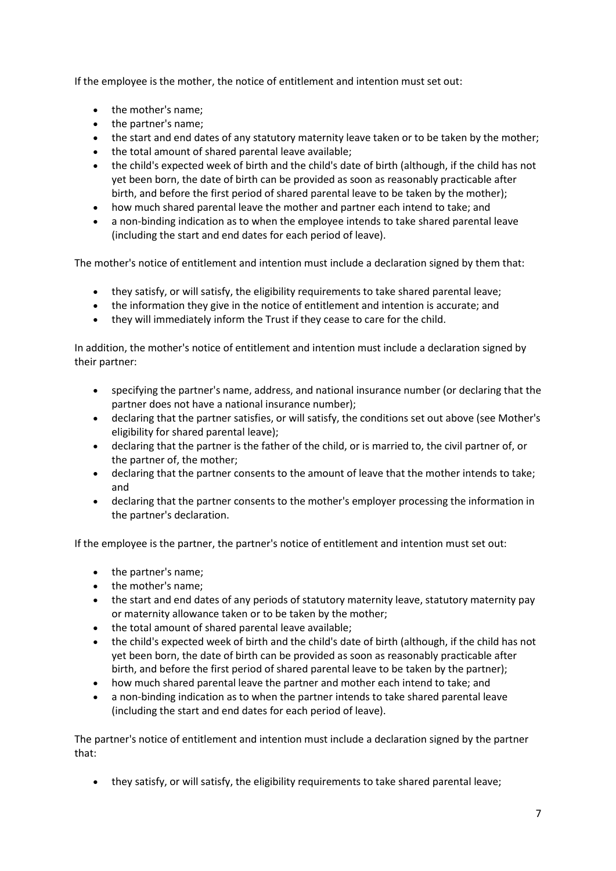If the employee is the mother, the notice of entitlement and intention must set out:

- the mother's name;
- the partner's name;
- the start and end dates of any statutory maternity leave taken or to be taken by the mother;
- the total amount of shared parental leave available;
- the child's expected week of birth and the child's date of birth (although, if the child has not yet been born, the date of birth can be provided as soon as reasonably practicable after birth, and before the first period of shared parental leave to be taken by the mother);
- how much shared parental leave the mother and partner each intend to take; and
- a non-binding indication as to when the employee intends to take shared parental leave (including the start and end dates for each period of leave).

The mother's notice of entitlement and intention must include a declaration signed by them that:

- they satisfy, or will satisfy, the eligibility requirements to take shared parental leave;
- the information they give in the notice of entitlement and intention is accurate; and
- they will immediately inform the Trust if they cease to care for the child.

In addition, the mother's notice of entitlement and intention must include a declaration signed by their partner:

- specifying the partner's name, address, and national insurance number (or declaring that the partner does not have a national insurance number);
- declaring that the partner satisfies, or will satisfy, the conditions set out above (see Mother's eligibility for shared parental leave);
- declaring that the partner is the father of the child, or is married to, the civil partner of, or the partner of, the mother;
- declaring that the partner consents to the amount of leave that the mother intends to take; and
- declaring that the partner consents to the mother's employer processing the information in the partner's declaration.

If the employee is the partner, the partner's notice of entitlement and intention must set out:

- the partner's name;
- the mother's name;
- the start and end dates of any periods of statutory maternity leave, statutory maternity pay or maternity allowance taken or to be taken by the mother;
- the total amount of shared parental leave available;
- the child's expected week of birth and the child's date of birth (although, if the child has not yet been born, the date of birth can be provided as soon as reasonably practicable after birth, and before the first period of shared parental leave to be taken by the partner);
- how much shared parental leave the partner and mother each intend to take; and
- a non-binding indication as to when the partner intends to take shared parental leave (including the start and end dates for each period of leave).

The partner's notice of entitlement and intention must include a declaration signed by the partner that:

• they satisfy, or will satisfy, the eligibility requirements to take shared parental leave;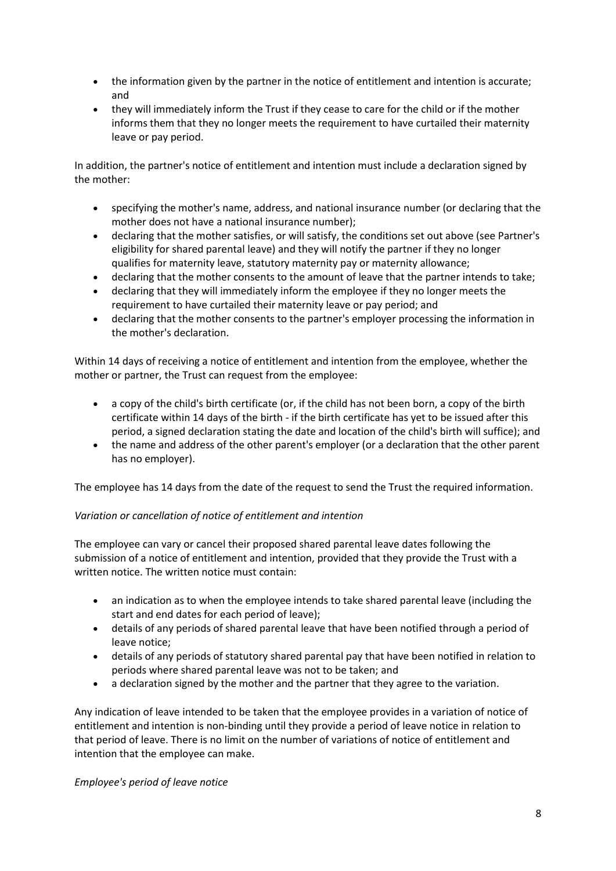- the information given by the partner in the notice of entitlement and intention is accurate; and
- they will immediately inform the Trust if they cease to care for the child or if the mother informs them that they no longer meets the requirement to have curtailed their maternity leave or pay period.

In addition, the partner's notice of entitlement and intention must include a declaration signed by the mother:

- specifying the mother's name, address, and national insurance number (or declaring that the mother does not have a national insurance number);
- declaring that the mother satisfies, or will satisfy, the conditions set out above (see Partner's eligibility for shared parental leave) and they will notify the partner if they no longer qualifies for maternity leave, statutory maternity pay or maternity allowance;
- declaring that the mother consents to the amount of leave that the partner intends to take;
- declaring that they will immediately inform the employee if they no longer meets the requirement to have curtailed their maternity leave or pay period; and
- declaring that the mother consents to the partner's employer processing the information in the mother's declaration.

Within 14 days of receiving a notice of entitlement and intention from the employee, whether the mother or partner, the Trust can request from the employee:

- a copy of the child's birth certificate (or, if the child has not been born, a copy of the birth certificate within 14 days of the birth - if the birth certificate has yet to be issued after this period, a signed declaration stating the date and location of the child's birth will suffice); and
- the name and address of the other parent's employer (or a declaration that the other parent has no employer).

The employee has 14 days from the date of the request to send the Trust the required information.

## *Variation or cancellation of notice of entitlement and intention*

The employee can vary or cancel their proposed shared parental leave dates following the submission of a notice of entitlement and intention, provided that they provide the Trust with a written notice. The written notice must contain:

- an indication as to when the employee intends to take shared parental leave (including the start and end dates for each period of leave);
- details of any periods of shared parental leave that have been notified through a period of leave notice;
- details of any periods of statutory shared parental pay that have been notified in relation to periods where shared parental leave was not to be taken; and
- a declaration signed by the mother and the partner that they agree to the variation.

Any indication of leave intended to be taken that the employee provides in a variation of notice of entitlement and intention is non-binding until they provide a period of leave notice in relation to that period of leave. There is no limit on the number of variations of notice of entitlement and intention that the employee can make.

## *Employee's period of leave notice*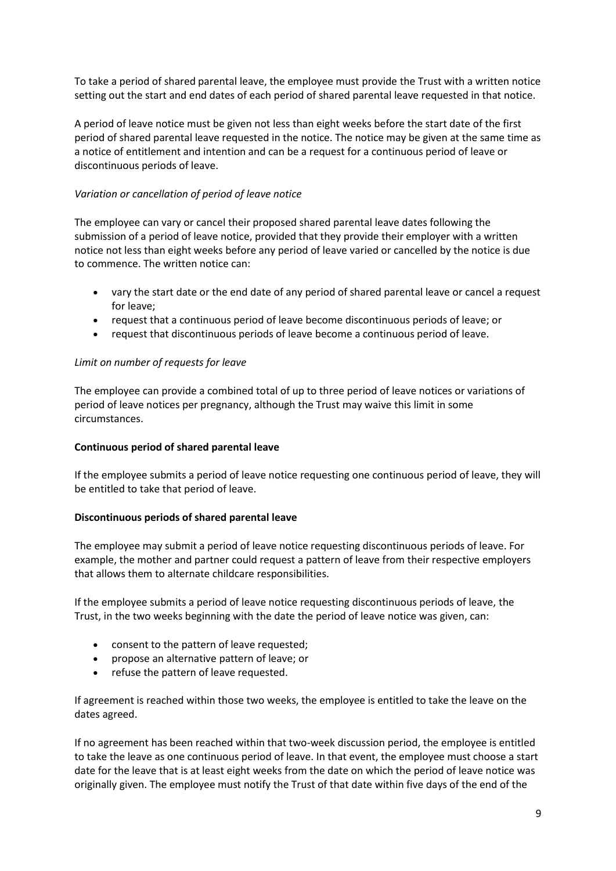To take a period of shared parental leave, the employee must provide the Trust with a written notice setting out the start and end dates of each period of shared parental leave requested in that notice.

A period of leave notice must be given not less than eight weeks before the start date of the first period of shared parental leave requested in the notice. The notice may be given at the same time as a notice of entitlement and intention and can be a request for a continuous period of leave or discontinuous periods of leave.

## *Variation or cancellation of period of leave notice*

The employee can vary or cancel their proposed shared parental leave dates following the submission of a period of leave notice, provided that they provide their employer with a written notice not less than eight weeks before any period of leave varied or cancelled by the notice is due to commence. The written notice can:

- vary the start date or the end date of any period of shared parental leave or cancel a request for leave;
- request that a continuous period of leave become discontinuous periods of leave; or
- request that discontinuous periods of leave become a continuous period of leave.

## *Limit on number of requests for leave*

The employee can provide a combined total of up to three period of leave notices or variations of period of leave notices per pregnancy, although the Trust may waive this limit in some circumstances.

## **Continuous period of shared parental leave**

If the employee submits a period of leave notice requesting one continuous period of leave, they will be entitled to take that period of leave.

## **Discontinuous periods of shared parental leave**

The employee may submit a period of leave notice requesting discontinuous periods of leave. For example, the mother and partner could request a pattern of leave from their respective employers that allows them to alternate childcare responsibilities.

If the employee submits a period of leave notice requesting discontinuous periods of leave, the Trust, in the two weeks beginning with the date the period of leave notice was given, can:

- consent to the pattern of leave requested;
- propose an alternative pattern of leave; or
- refuse the pattern of leave requested.

If agreement is reached within those two weeks, the employee is entitled to take the leave on the dates agreed.

If no agreement has been reached within that two-week discussion period, the employee is entitled to take the leave as one continuous period of leave. In that event, the employee must choose a start date for the leave that is at least eight weeks from the date on which the period of leave notice was originally given. The employee must notify the Trust of that date within five days of the end of the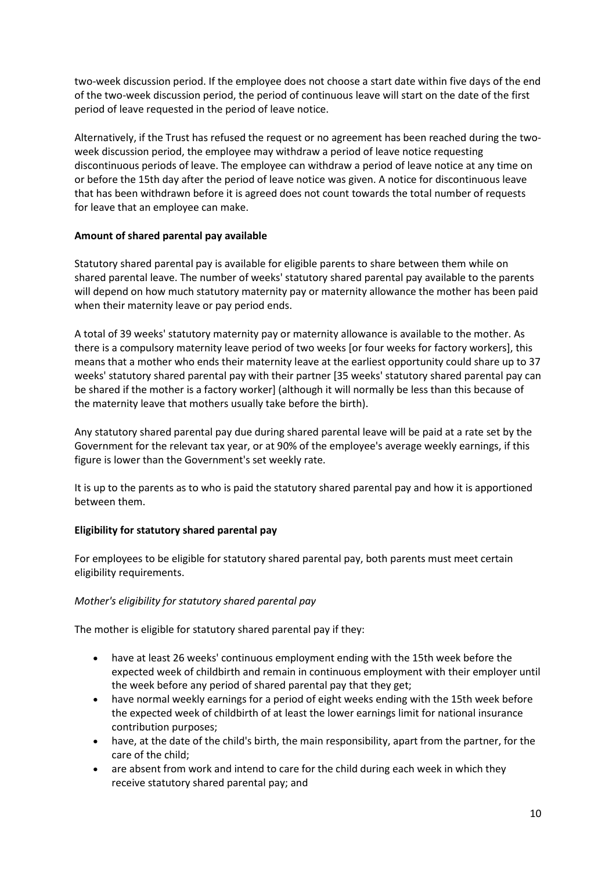two-week discussion period. If the employee does not choose a start date within five days of the end of the two-week discussion period, the period of continuous leave will start on the date of the first period of leave requested in the period of leave notice.

Alternatively, if the Trust has refused the request or no agreement has been reached during the twoweek discussion period, the employee may withdraw a period of leave notice requesting discontinuous periods of leave. The employee can withdraw a period of leave notice at any time on or before the 15th day after the period of leave notice was given. A notice for discontinuous leave that has been withdrawn before it is agreed does not count towards the total number of requests for leave that an employee can make.

## **Amount of shared parental pay available**

Statutory shared parental pay is available for eligible parents to share between them while on shared parental leave. The number of weeks' statutory shared parental pay available to the parents will depend on how much statutory maternity pay or maternity allowance the mother has been paid when their maternity leave or pay period ends.

A total of 39 weeks' statutory maternity pay or maternity allowance is available to the mother. As there is a compulsory maternity leave period of two weeks [or four weeks for factory workers], this means that a mother who ends their maternity leave at the earliest opportunity could share up to 37 weeks' statutory shared parental pay with their partner [35 weeks' statutory shared parental pay can be shared if the mother is a factory worker] (although it will normally be less than this because of the maternity leave that mothers usually take before the birth).

Any statutory shared parental pay due during shared parental leave will be paid at a rate set by the Government for the relevant tax year, or at 90% of the employee's average weekly earnings, if this figure is lower than the Government's set weekly rate.

It is up to the parents as to who is paid the statutory shared parental pay and how it is apportioned between them.

## **Eligibility for statutory shared parental pay**

For employees to be eligible for statutory shared parental pay, both parents must meet certain eligibility requirements.

## *Mother's eligibility for statutory shared parental pay*

The mother is eligible for statutory shared parental pay if they:

- have at least 26 weeks' continuous employment ending with the 15th week before the expected week of childbirth and remain in continuous employment with their employer until the week before any period of shared parental pay that they get;
- have normal weekly earnings for a period of eight weeks ending with the 15th week before the expected week of childbirth of at least the lower earnings limit for national insurance contribution purposes;
- have, at the date of the child's birth, the main responsibility, apart from the partner, for the care of the child;
- are absent from work and intend to care for the child during each week in which they receive statutory shared parental pay; and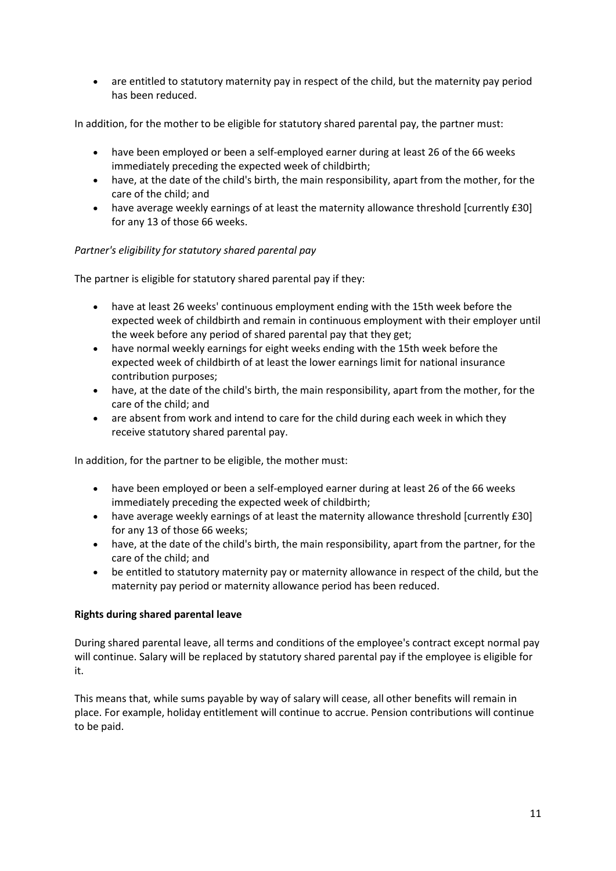• are entitled to statutory maternity pay in respect of the child, but the maternity pay period has been reduced.

In addition, for the mother to be eligible for statutory shared parental pay, the partner must:

- have been employed or been a self-employed earner during at least 26 of the 66 weeks immediately preceding the expected week of childbirth;
- have, at the date of the child's birth, the main responsibility, apart from the mother, for the care of the child; and
- have average weekly earnings of at least the maternity allowance threshold [currently £30] for any 13 of those 66 weeks.

## *Partner's eligibility for statutory shared parental pay*

The partner is eligible for statutory shared parental pay if they:

- have at least 26 weeks' continuous employment ending with the 15th week before the expected week of childbirth and remain in continuous employment with their employer until the week before any period of shared parental pay that they get;
- have normal weekly earnings for eight weeks ending with the 15th week before the expected week of childbirth of at least the lower earnings limit for national insurance contribution purposes;
- have, at the date of the child's birth, the main responsibility, apart from the mother, for the care of the child; and
- are absent from work and intend to care for the child during each week in which they receive statutory shared parental pay.

In addition, for the partner to be eligible, the mother must:

- have been employed or been a self-employed earner during at least 26 of the 66 weeks immediately preceding the expected week of childbirth;
- have average weekly earnings of at least the maternity allowance threshold [currently £30] for any 13 of those 66 weeks;
- have, at the date of the child's birth, the main responsibility, apart from the partner, for the care of the child; and
- be entitled to statutory maternity pay or maternity allowance in respect of the child, but the maternity pay period or maternity allowance period has been reduced.

## **Rights during shared parental leave**

During shared parental leave, all terms and conditions of the employee's contract except normal pay will continue. Salary will be replaced by statutory shared parental pay if the employee is eligible for it.

This means that, while sums payable by way of salary will cease, all other benefits will remain in place. For example, holiday entitlement will continue to accrue. Pension contributions will continue to be paid.